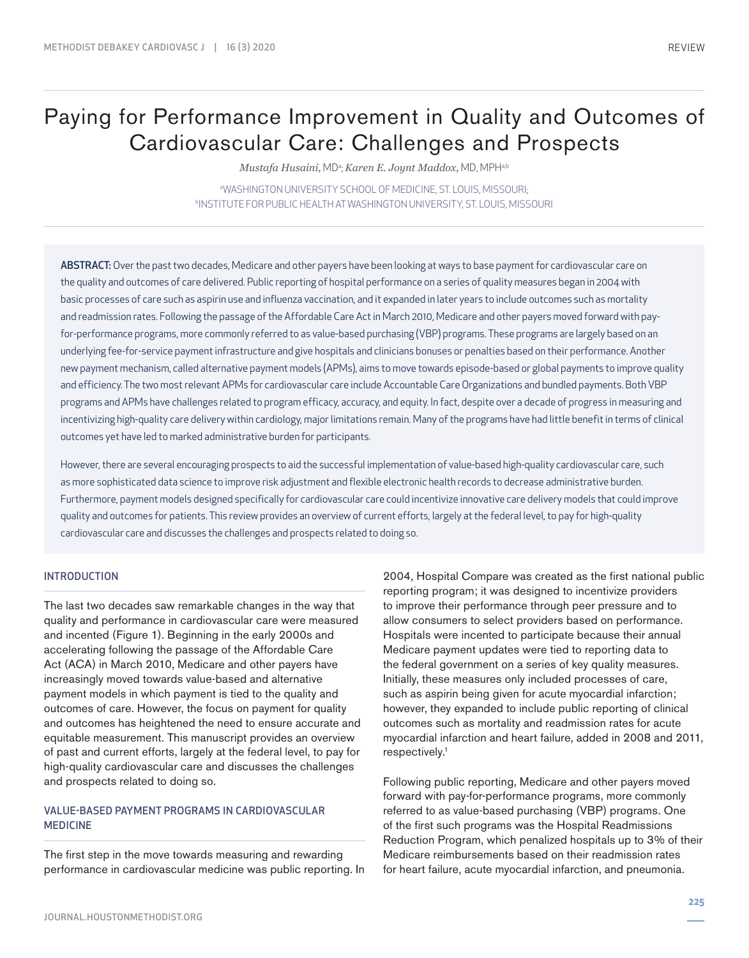# Paying for Performance Improvement in Quality and Outcomes of Cardiovascular Care: Challenges and Prospects

 ${\it Mustafa Husaini},$  MDª;  ${\it Karen\ E.}$  Jo ${\it ynt\ Maddox},$  MD, MPHª.b

a WASHINGTON UNIVERSITY SCHOOL OF MEDICINE, ST. LOUIS, MISSOURI; b INSTITUTE FOR PUBLIC HEALTH AT WASHINGTON UNIVERSITY, ST. LOUIS, MISSOURI

ABSTRACT: Over the past two decades, Medicare and other payers have been looking at ways to base payment for cardiovascular care on the quality and outcomes of care delivered. Public reporting of hospital performance on a series of quality measures began in 2004 with basic processes of care such as aspirin use and influenza vaccination, and it expanded in later years to include outcomes such as mortality and readmission rates. Following the passage of the Affordable Care Act in March 2010, Medicare and other payers moved forward with payfor-performance programs, more commonly referred to as value-based purchasing (VBP) programs. These programs are largely based on an underlying fee-for-service payment infrastructure and give hospitals and clinicians bonuses or penalties based on their performance. Another new payment mechanism, called alternative payment models (APMs), aims to move towards episode-based or global payments to improve quality and efficiency. The two most relevant APMs for cardiovascular care include Accountable Care Organizations and bundled payments. Both VBP programs and APMs have challenges related to program efficacy, accuracy, and equity. In fact, despite over a decade of progress in measuring and incentivizing high-quality care delivery within cardiology, major limitations remain. Many of the programs have had little benefit in terms of clinical outcomes yet have led to marked administrative burden for participants.

However, there are several encouraging prospects to aid the successful implementation of value-based high-quality cardiovascular care, such as more sophisticated data science to improve risk adjustment and flexible electronic health records to decrease administrative burden. Furthermore, payment models designed specifically for cardiovascular care could incentivize innovative care delivery models that could improve quality and outcomes for patients. This review provides an overview of current efforts, largely at the federal level, to pay for high-quality cardiovascular care and discusses the challenges and prospects related to doing so.

### INTRODUCTION

The last two decades saw remarkable changes in the way that quality and performance in cardiovascular care were measured and incented (Figure 1). Beginning in the early 2000s and accelerating following the passage of the Affordable Care Act (ACA) in March 2010, Medicare and other payers have increasingly moved towards value-based and alternative payment models in which payment is tied to the quality and outcomes of care. However, the focus on payment for quality and outcomes has heightened the need to ensure accurate and equitable measurement. This manuscript provides an overview of past and current efforts, largely at the federal level, to pay for high-quality cardiovascular care and discusses the challenges and prospects related to doing so.

## VALUE-BASED PAYMENT PROGRAMS IN CARDIOVASCULAR MEDICINE

The first step in the move towards measuring and rewarding performance in cardiovascular medicine was public reporting. In 2004, Hospital Compare was created as the first national public reporting program; it was designed to incentivize providers to improve their performance through peer pressure and to allow consumers to select providers based on performance. Hospitals were incented to participate because their annual Medicare payment updates were tied to reporting data to the federal government on a series of key quality measures. Initially, these measures only included processes of care, such as aspirin being given for acute myocardial infarction; however, they expanded to include public reporting of clinical outcomes such as mortality and readmission rates for acute myocardial infarction and heart failure, added in 2008 and 2011, respectively.1

Following public reporting, Medicare and other payers moved forward with pay-for-performance programs, more commonly referred to as value-based purchasing (VBP) programs. One of the first such programs was the Hospital Readmissions Reduction Program, which penalized hospitals up to 3% of their Medicare reimbursements based on their readmission rates for heart failure, acute myocardial infarction, and pneumonia.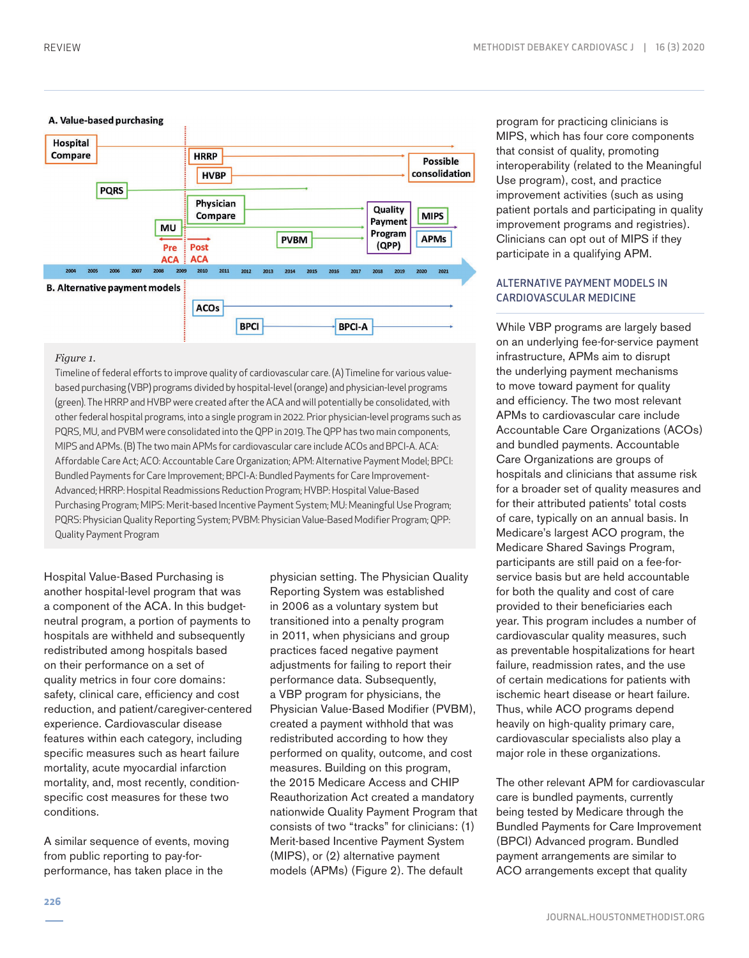

#### *Figure 1.*

Timeline of federal efforts to improve quality of cardiovascular care. (A) Timeline for various valuebased purchasing (VBP) programs divided by hospital-level (orange) and physician-level programs (green). The HRRP and HVBP were created after the ACA and will potentially be consolidated, with other federal hospital programs, into a single program in 2022. Prior physician-level programs such as PQRS, MU, and PVBM were consolidated into the QPP in 2019. The QPP has two main components, MIPS and APMs. (B) The two main APMs for cardiovascular care include ACOs and BPCI-A. ACA: Affordable Care Act; ACO: Accountable Care Organization; APM: Alternative Payment Model; BPCI: Bundled Payments for Care Improvement; BPCI-A: Bundled Payments for Care Improvement-Advanced; HRRP: Hospital Readmissions Reduction Program; HVBP: Hospital Value-Based Purchasing Program; MIPS: Merit-based Incentive Payment System; MU: Meaningful Use Program; PQRS: Physician Quality Reporting System; PVBM: Physician Value-Based Modifier Program; QPP: Quality Payment Program

Hospital Value-Based Purchasing is another hospital-level program that was a component of the ACA. In this budgetneutral program, a portion of payments to hospitals are withheld and subsequently redistributed among hospitals based on their performance on a set of quality metrics in four core domains: safety, clinical care, efficiency and cost reduction, and patient/caregiver-centered experience. Cardiovascular disease features within each category, including specific measures such as heart failure mortality, acute myocardial infarction mortality, and, most recently, conditionspecific cost measures for these two conditions.

A similar sequence of events, moving from public reporting to pay-forperformance, has taken place in the

physician setting. The Physician Quality Reporting System was established in 2006 as a voluntary system but transitioned into a penalty program in 2011, when physicians and group practices faced negative payment adjustments for failing to report their performance data. Subsequently, a VBP program for physicians, the Physician Value-Based Modifier (PVBM), created a payment withhold that was redistributed according to how they performed on quality, outcome, and cost measures. Building on this program, the 2015 Medicare Access and CHIP Reauthorization Act created a mandatory nationwide Quality Payment Program that consists of two "tracks" for clinicians: (1) Merit-based Incentive Payment System (MIPS), or (2) alternative payment models (APMs) (Figure 2). The default

program for practicing clinicians is MIPS, which has four core components that consist of quality, promoting interoperability (related to the Meaningful Use program), cost, and practice improvement activities (such as using patient portals and participating in quality improvement programs and registries). Clinicians can opt out of MIPS if they participate in a qualifying APM.

## ALTERNATIVE PAYMENT MODELS IN CARDIOVASCULAR MEDICINE

While VBP programs are largely based on an underlying fee-for-service payment infrastructure, APMs aim to disrupt the underlying payment mechanisms to move toward payment for quality and efficiency. The two most relevant APMs to cardiovascular care include Accountable Care Organizations (ACOs) and bundled payments. Accountable Care Organizations are groups of hospitals and clinicians that assume risk for a broader set of quality measures and for their attributed patients' total costs of care, typically on an annual basis. In Medicare's largest ACO program, the Medicare Shared Savings Program, participants are still paid on a fee-forservice basis but are held accountable for both the quality and cost of care provided to their beneficiaries each year. This program includes a number of cardiovascular quality measures, such as preventable hospitalizations for heart failure, readmission rates, and the use of certain medications for patients with ischemic heart disease or heart failure. Thus, while ACO programs depend heavily on high-quality primary care, cardiovascular specialists also play a major role in these organizations.

The other relevant APM for cardiovascular care is bundled payments, currently being tested by Medicare through the Bundled Payments for Care Improvement (BPCI) Advanced program. Bundled payment arrangements are similar to ACO arrangements except that quality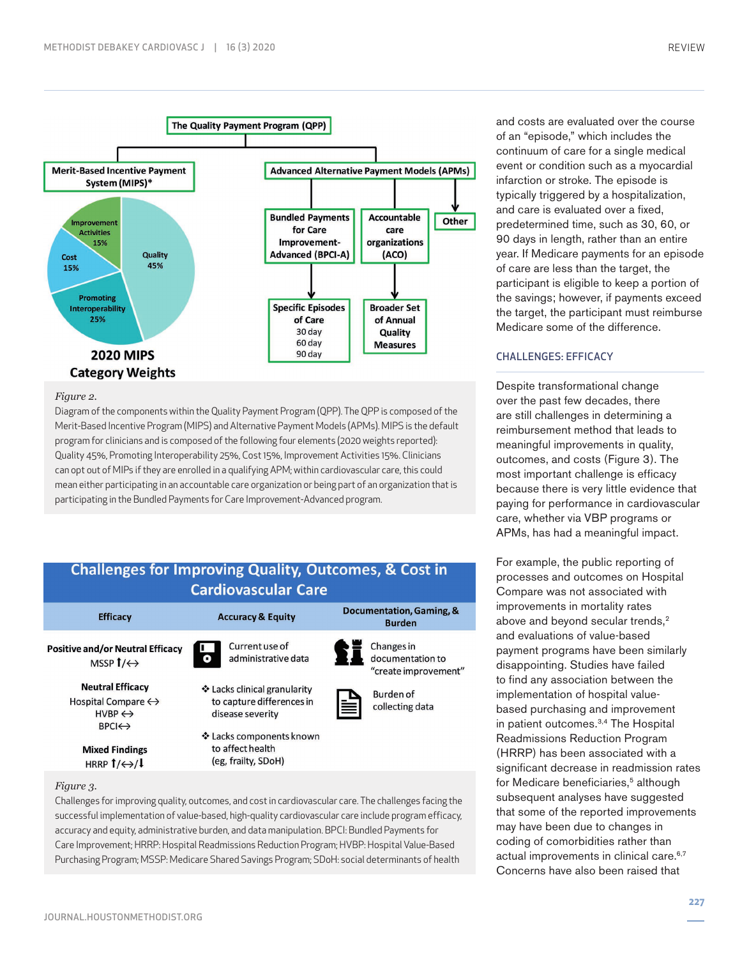

#### *Figure 2.*

Diagram of the components within the Quality Payment Program (QPP). The QPP is composed of the Merit-Based Incentive Program (MIPS) and Alternative Payment Models (APMs). MIPS is the default program for clinicians and is composed of the following four elements (2020 weights reported): Quality 45%, Promoting Interoperability 25%, Cost 15%, Improvement Activities 15%. Clinicians can opt out of MIPs if they are enrolled in a qualifying APM; within cardiovascular care, this could mean either participating in an accountable care organization or being part of an organization that is participating in the Bundled Payments for Care Improvement-Advanced program.



**Mixed Findings** HRRP  $1/\leftrightarrow$ / $\downarrow$ 

#### *Figure 3.*

Challenges for improving quality, outcomes, and cost in cardiovascular care. The challenges facing the successful implementation of value-based, high-quality cardiovascular care include program efficacy, accuracy and equity, administrative burden, and data manipulation. BPCI: Bundled Payments for Care Improvement; HRRP: Hospital Readmissions Reduction Program; HVBP: Hospital Value-Based Purchasing Program; MSSP: Medicare Shared Savings Program; SDoH: social determinants of health

(eg, frailty, SDoH)

and costs are evaluated over the course of an "episode," which includes the continuum of care for a single medical event or condition such as a myocardial infarction or stroke. The episode is typically triggered by a hospitalization, and care is evaluated over a fixed, predetermined time, such as 30, 60, or 90 days in length, rather than an entire year. If Medicare payments for an episode of care are less than the target, the participant is eligible to keep a portion of the savings; however, if payments exceed the target, the participant must reimburse Medicare some of the difference.

## CHALLENGES: EFFICACY

Despite transformational change over the past few decades, there are still challenges in determining a reimbursement method that leads to meaningful improvements in quality, outcomes, and costs (Figure 3). The most important challenge is efficacy because there is very little evidence that paying for performance in cardiovascular care, whether via VBP programs or APMs, has had a meaningful impact.

For example, the public reporting of processes and outcomes on Hospital Compare was not associated with improvements in mortality rates above and beyond secular trends,<sup>2</sup> and evaluations of value-based payment programs have been similarly disappointing. Studies have failed to find any association between the implementation of hospital valuebased purchasing and improvement in patient outcomes.3,4 The Hospital Readmissions Reduction Program (HRRP) has been associated with a significant decrease in readmission rates for Medicare beneficiaries,<sup>5</sup> although subsequent analyses have suggested that some of the reported improvements may have been due to changes in coding of comorbidities rather than actual improvements in clinical care.<sup>6,7</sup> Concerns have also been raised that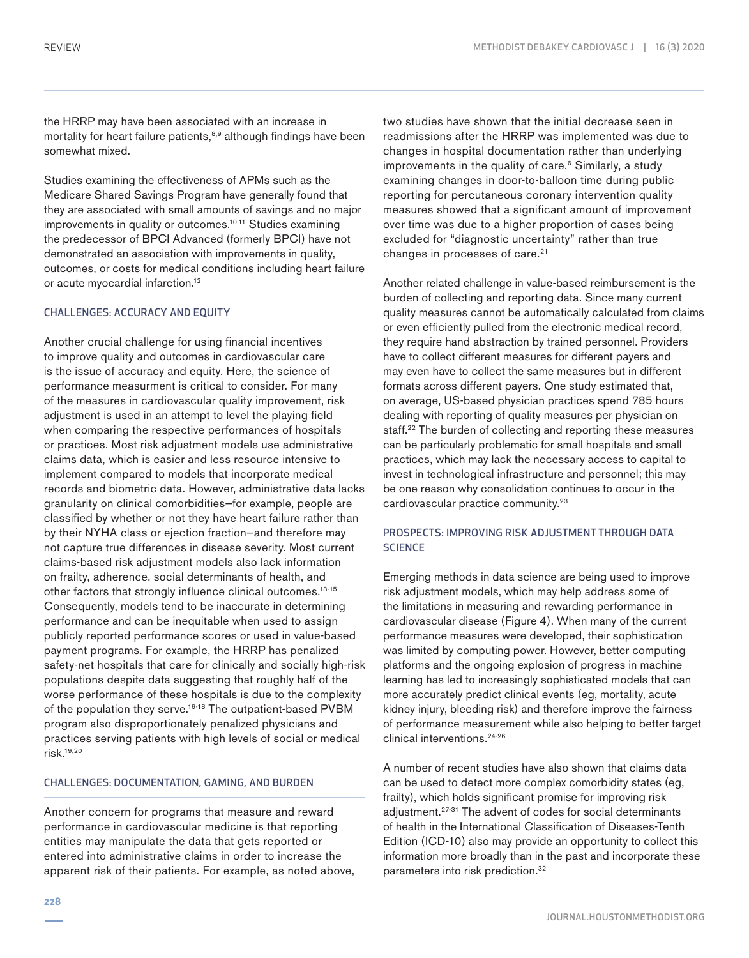the HRRP may have been associated with an increase in mortality for heart failure patients, $8,9$  although findings have been somewhat mixed.

Studies examining the effectiveness of APMs such as the Medicare Shared Savings Program have generally found that they are associated with small amounts of savings and no major improvements in quality or outcomes.<sup>10,11</sup> Studies examining the predecessor of BPCI Advanced (formerly BPCI) have not demonstrated an association with improvements in quality, outcomes, or costs for medical conditions including heart failure or acute myocardial infarction.12

## CHALLENGES: ACCURACY AND EQUITY

Another crucial challenge for using financial incentives to improve quality and outcomes in cardiovascular care is the issue of accuracy and equity. Here, the science of performance measurment is critical to consider. For many of the measures in cardiovascular quality improvement, risk adjustment is used in an attempt to level the playing field when comparing the respective performances of hospitals or practices. Most risk adjustment models use administrative claims data, which is easier and less resource intensive to implement compared to models that incorporate medical records and biometric data. However, administrative data lacks granularity on clinical comorbidities—for example, people are classified by whether or not they have heart failure rather than by their NYHA class or ejection fraction—and therefore may not capture true differences in disease severity. Most current claims-based risk adjustment models also lack information on frailty, adherence, social determinants of health, and other factors that strongly influence clinical outcomes.<sup>13-15</sup> Consequently, models tend to be inaccurate in determining performance and can be inequitable when used to assign publicly reported performance scores or used in value-based payment programs. For example, the HRRP has penalized safety-net hospitals that care for clinically and socially high-risk populations despite data suggesting that roughly half of the worse performance of these hospitals is due to the complexity of the population they serve.<sup>16-18</sup> The outpatient-based PVBM program also disproportionately penalized physicians and practices serving patients with high levels of social or medical risk.19,20

#### CHALLENGES: DOCUMENTATION, GAMING, AND BURDEN

Another concern for programs that measure and reward performance in cardiovascular medicine is that reporting entities may manipulate the data that gets reported or entered into administrative claims in order to increase the apparent risk of their patients. For example, as noted above, two studies have shown that the initial decrease seen in readmissions after the HRRP was implemented was due to changes in hospital documentation rather than underlying improvements in the quality of care.<sup>6</sup> Similarly, a study examining changes in door-to-balloon time during public reporting for percutaneous coronary intervention quality measures showed that a significant amount of improvement over time was due to a higher proportion of cases being excluded for "diagnostic uncertainty" rather than true changes in processes of care.<sup>21</sup>

Another related challenge in value-based reimbursement is the burden of collecting and reporting data. Since many current quality measures cannot be automatically calculated from claims or even efficiently pulled from the electronic medical record, they require hand abstraction by trained personnel. Providers have to collect different measures for different payers and may even have to collect the same measures but in different formats across different payers. One study estimated that, on average, US-based physician practices spend 785 hours dealing with reporting of quality measures per physician on staff.<sup>22</sup> The burden of collecting and reporting these measures can be particularly problematic for small hospitals and small practices, which may lack the necessary access to capital to invest in technological infrastructure and personnel; this may be one reason why consolidation continues to occur in the cardiovascular practice community.23

## PROSPECTS: IMPROVING RISK ADJUSTMENT THROUGH DATA **SCIENCE**

Emerging methods in data science are being used to improve risk adjustment models, which may help address some of the limitations in measuring and rewarding performance in cardiovascular disease (Figure 4). When many of the current performance measures were developed, their sophistication was limited by computing power. However, better computing platforms and the ongoing explosion of progress in machine learning has led to increasingly sophisticated models that can more accurately predict clinical events (eg, mortality, acute kidney injury, bleeding risk) and therefore improve the fairness of performance measurement while also helping to better target clinical interventions.24-26

A number of recent studies have also shown that claims data can be used to detect more complex comorbidity states (eg, frailty), which holds significant promise for improving risk adjustment.27-31 The advent of codes for social determinants of health in the International Classification of Diseases-Tenth Edition (ICD-10) also may provide an opportunity to collect this information more broadly than in the past and incorporate these parameters into risk prediction.32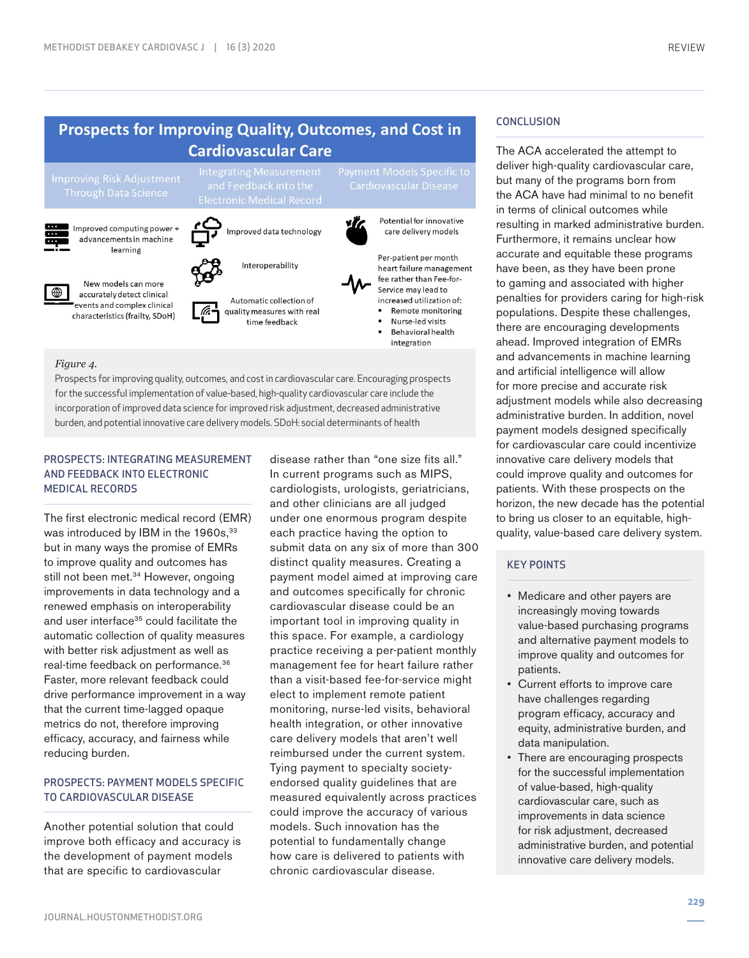## Prospects for Improving Quality, Outcomes, and Cost in **Cardiovascular Care**



New models can more

accurately detect clinical

events and complex clinical

characteristics (frailty, SDoH)



quality measures with real

time feedback



#### *Figure 4.*

⊕

Prospects for improving quality, outcomes, and cost in cardiovascular care. Encouraging prospects for the successful implementation of value-based, high-quality cardiovascular care include the incorporation of improved data science for improved risk adjustment, decreased administrative burden, and potential innovative care delivery models. SDoH: social determinants of health

## PROSPECTS: INTEGRATING MEASUREMENT AND FEEDBACK INTO ELECTRONIC MEDICAL RECORDS

The first electronic medical record (EMR) was introduced by IBM in the 1960s, 33 but in many ways the promise of EMRs to improve quality and outcomes has still not been met.<sup>34</sup> However, ongoing improvements in data technology and a renewed emphasis on interoperability and user interface<sup>35</sup> could facilitate the automatic collection of quality measures with better risk adjustment as well as real-time feedback on performance.36 Faster, more relevant feedback could drive performance improvement in a way that the current time-lagged opaque metrics do not, therefore improving efficacy, accuracy, and fairness while reducing burden.

## PROSPECTS: PAYMENT MODELS SPECIFIC TO CARDIOVASCULAR DISEASE

Another potential solution that could improve both efficacy and accuracy is the development of payment models that are specific to cardiovascular

disease rather than "one size fits all." In current programs such as MIPS, cardiologists, urologists, geriatricians, and other clinicians are all judged under one enormous program despite each practice having the option to submit data on any six of more than 300 distinct quality measures. Creating a payment model aimed at improving care and outcomes specifically for chronic cardiovascular disease could be an important tool in improving quality in this space. For example, a cardiology practice receiving a per-patient monthly management fee for heart failure rather than a visit-based fee-for-service might elect to implement remote patient monitoring, nurse-led visits, behavioral health integration, or other innovative care delivery models that aren't well reimbursed under the current system. Tying payment to specialty societyendorsed quality guidelines that are measured equivalently across practices could improve the accuracy of various models. Such innovation has the potential to fundamentally change how care is delivered to patients with chronic cardiovascular disease.

## **CONCLUSION**

The ACA accelerated the attempt to deliver high-quality cardiovascular care, but many of the programs born from the ACA have had minimal to no benefit in terms of clinical outcomes while resulting in marked administrative burden. Furthermore, it remains unclear how accurate and equitable these programs have been, as they have been prone to gaming and associated with higher penalties for providers caring for high-risk populations. Despite these challenges, there are encouraging developments ahead. Improved integration of EMRs and advancements in machine learning and artificial intelligence will allow for more precise and accurate risk adjustment models while also decreasing administrative burden. In addition, novel payment models designed specifically for cardiovascular care could incentivize innovative care delivery models that could improve quality and outcomes for patients. With these prospects on the horizon, the new decade has the potential to bring us closer to an equitable, highquality, value-based care delivery system.

### KEY POINTS

- Medicare and other payers are increasingly moving towards value-based purchasing programs and alternative payment models to improve quality and outcomes for patients.
- Current efforts to improve care have challenges regarding program efficacy, accuracy and equity, administrative burden, and data manipulation.
- There are encouraging prospects for the successful implementation of value-based, high-quality cardiovascular care, such as improvements in data science for risk adjustment, decreased administrative burden, and potential innovative care delivery models.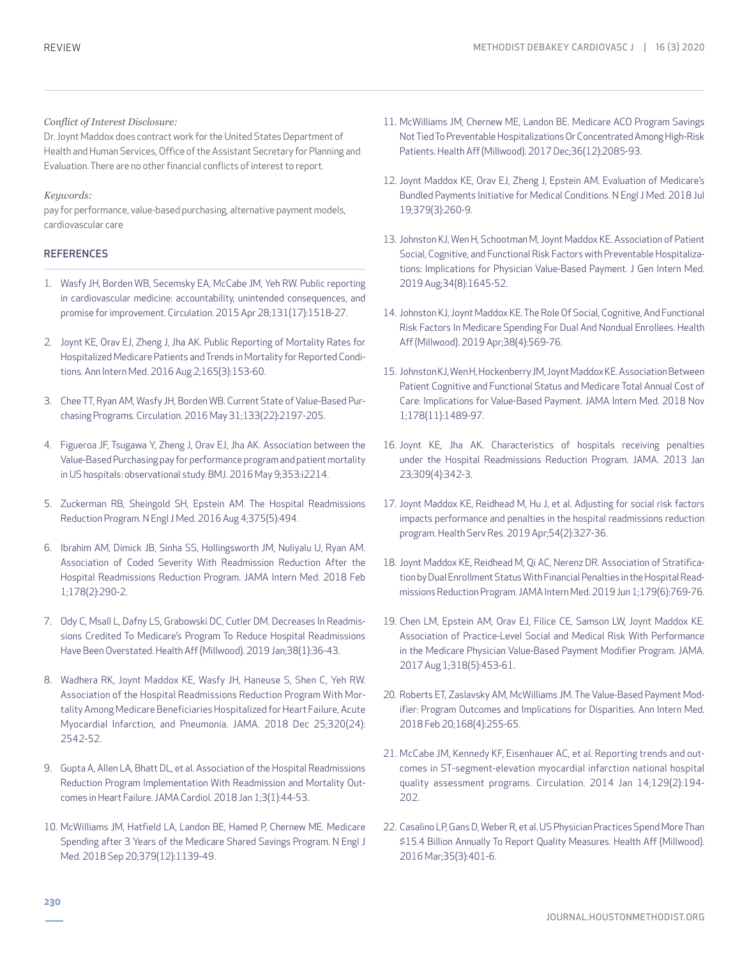## *Conflict of Interest Disclosure:*

Dr. Joynt Maddox does contract work for the United States Department of Health and Human Services, Office of the Assistant Secretary for Planning and Evaluation. There are no other financial conflicts of interest to report.

## *Keywords:*

pay for performance, value-based purchasing, alternative payment models, cardiovascular care

## **REFERENCES**

- 1. Wasfy JH, Borden WB, Secemsky EA, McCabe JM, Yeh RW. Public reporting in cardiovascular medicine: accountability, unintended consequences, and promise for improvement. Circulation. 2015 Apr 28;131(17):1518-27.
- 2. Joynt KE, Orav EJ, Zheng J, Jha AK. Public Reporting of Mortality Rates for Hospitalized Medicare Patients and Trends in Mortality for Reported Conditions. Ann Intern Med. 2016 Aug 2;165(3):153-60.
- 3. Chee TT, Ryan AM, Wasfy JH, Borden WB. Current State of Value-Based Purchasing Programs. Circulation. 2016 May 31;133(22):2197-205.
- 4. Figueroa JF, Tsugawa Y, Zheng J, Orav EJ, Jha AK. Association between the Value-Based Purchasing pay for performance program and patient mortality in US hospitals: observational study. BMJ. 2016 May 9;353:i2214.
- 5. Zuckerman RB, Sheingold SH, Epstein AM. The Hospital Readmissions Reduction Program. N Engl J Med. 2016 Aug 4;375(5):494.
- 6. Ibrahim AM, Dimick JB, Sinha SS, Hollingsworth JM, Nuliyalu U, Ryan AM. Association of Coded Severity With Readmission Reduction After the Hospital Readmissions Reduction Program. JAMA Intern Med. 2018 Feb 1;178(2):290-2.
- 7. Ody C, Msall L, Dafny LS, Grabowski DC, Cutler DM. Decreases In Readmissions Credited To Medicare's Program To Reduce Hospital Readmissions Have Been Overstated. Health Aff (Millwood). 2019 Jan;38(1):36-43.
- 8. Wadhera RK, Joynt Maddox KE, Wasfy JH, Haneuse S, Shen C, Yeh RW. Association of the Hospital Readmissions Reduction Program With Mortality Among Medicare Beneficiaries Hospitalized for Heart Failure, Acute Myocardial Infarction, and Pneumonia. JAMA. 2018 Dec 25;320(24): 2542-52.
- 9. Gupta A, Allen LA, Bhatt DL, et al. Association of the Hospital Readmissions Reduction Program Implementation With Readmission and Mortality Outcomes in Heart Failure. JAMA Cardiol. 2018 Jan 1;3(1):44-53.
- 10. McWilliams JM, Hatfield LA, Landon BE, Hamed P, Chernew ME. Medicare Spending after 3 Years of the Medicare Shared Savings Program. N Engl J Med. 2018 Sep 20;379(12):1139-49.
- 11. McWilliams JM, Chernew ME, Landon BE. Medicare ACO Program Savings Not Tied To Preventable Hospitalizations Or Concentrated Among High-Risk Patients. Health Aff (Millwood). 2017 Dec;36(12):2085-93.
- 12. Joynt Maddox KE, Orav EJ, Zheng J, Epstein AM. Evaluation of Medicare's Bundled Payments Initiative for Medical Conditions. N Engl J Med. 2018 Jul 19;379(3):260-9.
- 13. Johnston KJ, Wen H, Schootman M, Joynt Maddox KE. Association of Patient Social, Cognitive, and Functional Risk Factors with Preventable Hospitalizations: Implications for Physician Value-Based Payment. J Gen Intern Med. 2019 Aug;34(8):1645-52.
- 14. Johnston KJ, Joynt Maddox KE. The Role Of Social, Cognitive, And Functional Risk Factors In Medicare Spending For Dual And Nondual Enrollees. Health Aff (Millwood). 2019 Apr;38(4):569-76.
- 15. Johnston KJ, Wen H, Hockenberry JM, Joynt Maddox KE. Association Between Patient Cognitive and Functional Status and Medicare Total Annual Cost of Care: Implications for Value-Based Payment. JAMA Intern Med. 2018 Nov 1;178(11):1489-97.
- 16. Joynt KE, Jha AK. Characteristics of hospitals receiving penalties under the Hospital Readmissions Reduction Program. JAMA. 2013 Jan 23;309(4):342-3.
- 17. Joynt Maddox KE, Reidhead M, Hu J, et al. Adjusting for social risk factors impacts performance and penalties in the hospital readmissions reduction program. Health Serv Res. 2019 Apr;54(2):327-36.
- 18. Joynt Maddox KE, Reidhead M, Qi AC, Nerenz DR. Association of Stratification by Dual Enrollment Status With Financial Penalties in the Hospital Readmissions Reduction Program. JAMA Intern Med. 2019 Jun 1;179(6):769-76.
- 19. Chen LM, Epstein AM, Orav EJ, Filice CE, Samson LW, Joynt Maddox KE. Association of Practice-Level Social and Medical Risk With Performance in the Medicare Physician Value-Based Payment Modifier Program. JAMA. 2017 Aug 1;318(5):453-61.
- 20. Roberts ET, Zaslavsky AM, McWilliams JM. The Value-Based Payment Modifier: Program Outcomes and Implications for Disparities. Ann Intern Med. 2018 Feb 20;168(4):255-65.
- 21. McCabe JM, Kennedy KF, Eisenhauer AC, et al. Reporting trends and outcomes in ST-segment-elevation myocardial infarction national hospital quality assessment programs. Circulation. 2014 Jan 14;129(2):194- 202.
- 22. Casalino LP, Gans D, Weber R, et al. US Physician Practices Spend More Than \$15.4 Billion Annually To Report Quality Measures. Health Aff (Millwood). 2016 Mar;35(3):401-6.